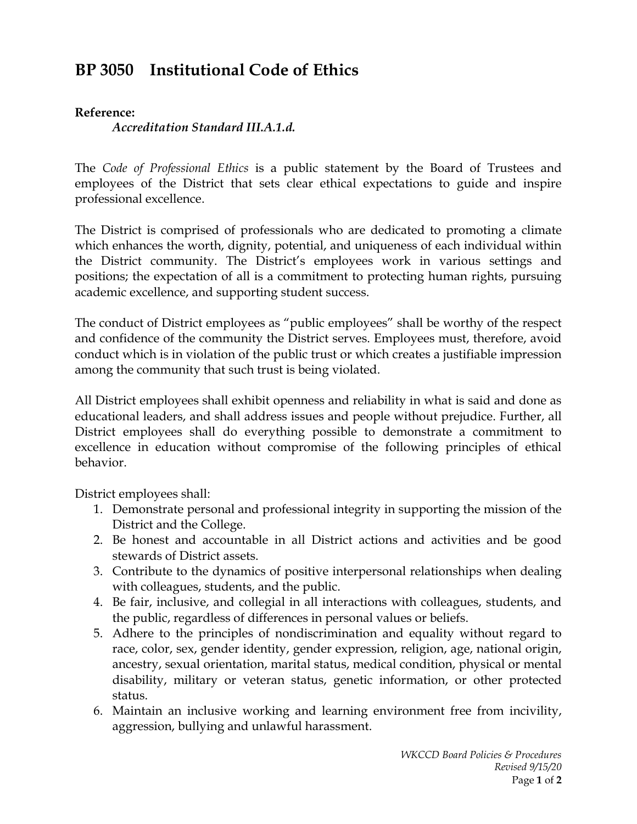## **BP 3050 Institutional Code of Ethics**

## **Reference:**

*Accreditation Standard III.A.1.d.*

The *Code of Professional Ethics* is a public statement by the Board of Trustees and employees of the District that sets clear ethical expectations to guide and inspire professional excellence.

The District is comprised of professionals who are dedicated to promoting a climate which enhances the worth, dignity, potential, and uniqueness of each individual within the District community. The District's employees work in various settings and positions; the expectation of all is a commitment to protecting human rights, pursuing academic excellence, and supporting student success.

The conduct of District employees as "public employees" shall be worthy of the respect and confidence of the community the District serves. Employees must, therefore, avoid conduct which is in violation of the public trust or which creates a justifiable impression among the community that such trust is being violated.

All District employees shall exhibit openness and reliability in what is said and done as educational leaders, and shall address issues and people without prejudice. Further, all District employees shall do everything possible to demonstrate a commitment to excellence in education without compromise of the following principles of ethical behavior.

District employees shall:

- 1. Demonstrate personal and professional integrity in supporting the mission of the District and the College.
- 2. Be honest and accountable in all District actions and activities and be good stewards of District assets.
- 3. Contribute to the dynamics of positive interpersonal relationships when dealing with colleagues, students, and the public.
- 4. Be fair, inclusive, and collegial in all interactions with colleagues, students, and the public, regardless of differences in personal values or beliefs.
- 5. Adhere to the principles of nondiscrimination and equality without regard to race, color, sex, gender identity, gender expression, religion, age, national origin, ancestry, sexual orientation, marital status, medical condition, physical or mental disability, military or veteran status, genetic information, or other protected status.
- 6. Maintain an inclusive working and learning environment free from incivility, aggression, bullying and unlawful harassment.